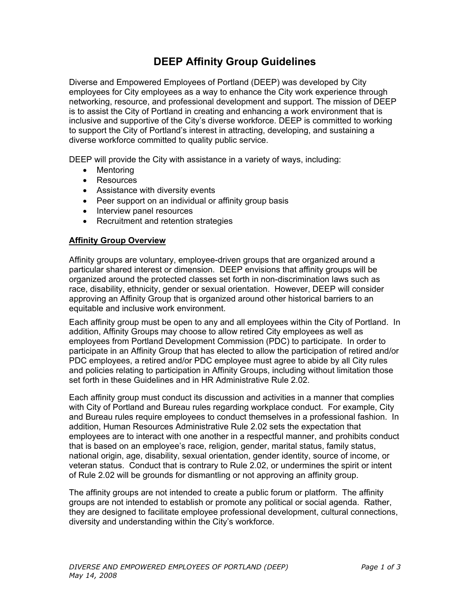# **DEEP Affinity Group Guidelines**

Diverse and Empowered Employees of Portland (DEEP) was developed by City employees for City employees as a way to enhance the City work experience through networking, resource, and professional development and support. The mission of DEEP is to assist the City of Portland in creating and enhancing a work environment that is inclusive and supportive of the City's diverse workforce. DEEP is committed to working to support the City of Portland's interest in attracting, developing, and sustaining a diverse workforce committed to quality public service.

DEEP will provide the City with assistance in a variety of ways, including:

- Mentoring
- Resources
- Assistance with diversity events
- Peer support on an individual or affinity group basis
- Interview panel resources
- Recruitment and retention strategies

#### **Affinity Group Overview**

Affinity groups are voluntary, employee-driven groups that are organized around a particular shared interest or dimension. DEEP envisions that affinity groups will be organized around the protected classes set forth in non-discrimination laws such as race, disability, ethnicity, gender or sexual orientation. However, DEEP will consider approving an Affinity Group that is organized around other historical barriers to an equitable and inclusive work environment.

Each affinity group must be open to any and all employees within the City of Portland. In addition, Affinity Groups may choose to allow retired City employees as well as employees from Portland Development Commission (PDC) to participate. In order to participate in an Affinity Group that has elected to allow the participation of retired and/or PDC employees, a retired and/or PDC employee must agree to abide by all City rules and policies relating to participation in Affinity Groups, including without limitation those set forth in these Guidelines and in HR Administrative Rule 2.02.

Each affinity group must conduct its discussion and activities in a manner that complies with City of Portland and Bureau rules regarding workplace conduct. For example, City and Bureau rules require employees to conduct themselves in a professional fashion. In addition, Human Resources Administrative Rule 2.02 sets the expectation that employees are to interact with one another in a respectful manner, and prohibits conduct that is based on an employee's race, religion, gender, marital status, family status, national origin, age, disability, sexual orientation, gender identity, source of income, or veteran status. Conduct that is contrary to Rule 2.02, or undermines the spirit or intent of Rule 2.02 will be grounds for dismantling or not approving an affinity group.

The affinity groups are not intended to create a public forum or platform. The affinity groups are not intended to establish or promote any political or social agenda. Rather, they are designed to facilitate employee professional development, cultural connections, diversity and understanding within the City's workforce.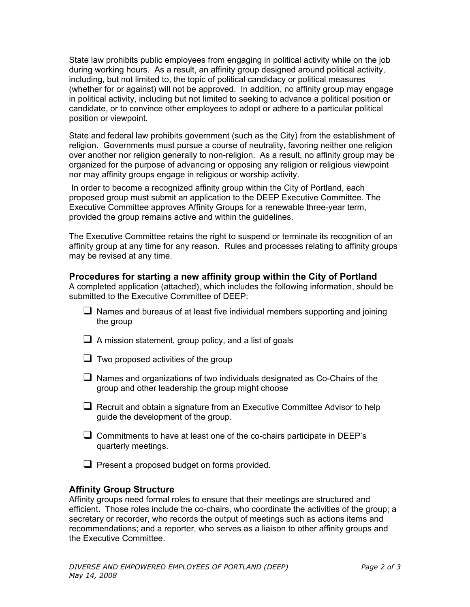State law prohibits public employees from engaging in political activity while on the job during working hours. As a result, an affinity group designed around political activity, including, but not limited to, the topic of political candidacy or political measures (whether for or against) will not be approved. In addition, no affinity group may engage in political activity, including but not limited to seeking to advance a political position or candidate, or to convince other employees to adopt or adhere to a particular political position or viewpoint.

State and federal law prohibits government (such as the City) from the establishment of religion. Governments must pursue a course of neutrality, favoring neither one religion over another nor religion generally to non-religion. As a result, no affinity group may be organized for the purpose of advancing or opposing any religion or religious viewpoint nor may affinity groups engage in religious or worship activity.

 In order to become a recognized affinity group within the City of Portland, each proposed group must submit an application to the DEEP Executive Committee. The Executive Committee approves Affinity Groups for a renewable three-year term, provided the group remains active and within the guidelines.

The Executive Committee retains the right to suspend or terminate its recognition of an affinity group at any time for any reason. Rules and processes relating to affinity groups may be revised at any time.

### **Procedures for starting a new affinity group within the City of Portland**

A completed application (attached), which includes the following information, should be submitted to the Executive Committee of DEEP:

- $\Box$  Names and bureaus of at least five individual members supporting and joining the group
- $\Box$  A mission statement, group policy, and a list of goals
- $\Box$  Two proposed activities of the group
- $\Box$  Names and organizations of two individuals designated as Co-Chairs of the group and other leadership the group might choose
- $\Box$  Recruit and obtain a signature from an Executive Committee Advisor to help guide the development of the group.
- $\Box$  Commitments to have at least one of the co-chairs participate in DEEP's quarterly meetings.
- $\Box$  Present a proposed budget on forms provided.

## **Affinity Group Structure**

Affinity groups need formal roles to ensure that their meetings are structured and efficient. Those roles include the co-chairs, who coordinate the activities of the group; a secretary or recorder, who records the output of meetings such as actions items and recommendations; and a reporter, who serves as a liaison to other affinity groups and the Executive Committee.